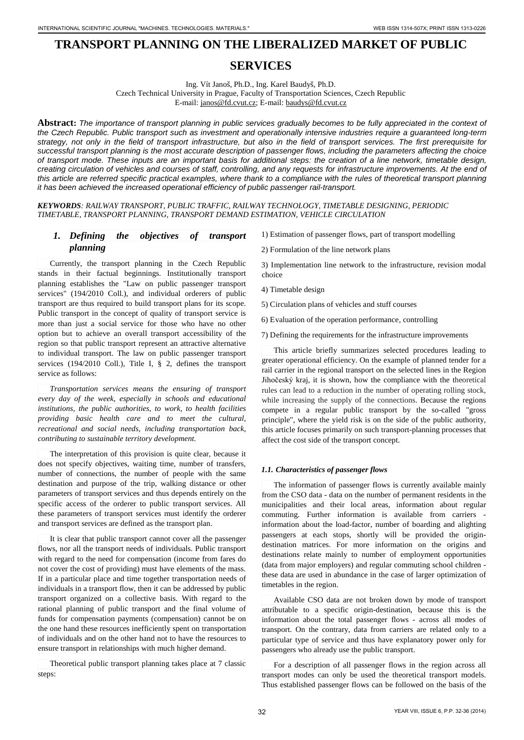# **TRANSPORT PLANNING ON THE LIBERALIZED MARKET OF PUBLIC**

# **SERVICES**

Ing. Vít Janoš, Ph.D., Ing. Karel Baudyš, Ph.D. Czech Technical University in Prague, Faculty of Transportation Sciences, Czech Republic E-mail: [janos@fd.cvut.cz;](mailto:stanescu_gelica@yahoo.com) E-mail[: baudys@fd.cvut.cz](mailto:ursachemarcela@yahoo.com)

**Abstract:** *The importance of transport planning in public services gradually becomes to be fully appreciated in the context of the Czech Republic. Public transport such as investment and operationally intensive industries require a guaranteed long-term strategy, not only in the field of transport infrastructure, but also in the field of transport services. The first prerequisite for successful transport planning is the most accurate description of passenger flows, including the parameters affecting the choice of transport mode. These inputs are an important basis for additional steps: the creation of a line network, timetable design, creating circulation of vehicles and courses of staff, controlling, and any requests for infrastructure improvements. At the end of this article are referred specific practical examples, where thank to a compliance with the rules of theoretical transport planning it has been achieved the increased operational efficiency of public passenger rail-transport.*

*KEYWORDS: RAILWAY TRANSPORT, PUBLIC TRAFFIC, RAILWAY TECHNOLOGY, TIMETABLE DESIGNING, PERIODIC TIMETABLE, TRANSPORT PLANNING, TRANSPORT DEMAND ESTIMATION, VEHICLE CIRCULATION* 

# *1. Defining the objectives of transport planning*

 Currently, the transport planning in the Czech Republic stands in their factual beginnings. Institutionally transport planning establishes the "Law on public passenger transport services" (194/2010 Coll.), and individual orderers of public transport are thus required to build transport plans for its scope. Public transport in the concept of quality of transport service is more than just a social service for those who have no other option but to achieve an overall transport accessibility of the region so that public transport represent an attractive alternative to individual transport. The law on public passenger transport services (194/2010 Coll.), Title I, § 2, defines the transport service as follows:

*Transportation services means the ensuring of transport every day of the week, especially in schools and educational institutions, the public authorities, to work, to health facilities providing basic health care and to meet the cultural, recreational and social needs, including transportation back, contributing to sustainable territory development.* 

The interpretation of this provision is quite clear, because it does not specify objectives, waiting time, number of transfers, number of connections, the number of people with the same destination and purpose of the trip, walking distance or other parameters of transport services and thus depends entirely on the specific access of the orderer to public transport services. All these parameters of transport services must identify the orderer and transport services are defined as the transport plan.

 It is clear that public transport cannot cover all the passenger flows, nor all the transport needs of individuals. Public transport with regard to the need for compensation (income from fares do not cover the cost of providing) must have elements of the mass. If in a particular place and time together transportation needs of individuals in a transport flow, then it can be addressed by public transport organized on a collective basis. With regard to the rational planning of public transport and the final volume of funds for compensation payments (compensation) cannot be on the one hand these resources inefficiently spent on transportation of individuals and on the other hand not to have the resources to ensure transport in relationships with much higher demand.

Theoretical public transport planning takes place at 7 classic steps:

1) Estimation of passenger flows, part of transport modelling

2) Formulation of the line network plans

3) Implementation line network to the infrastructure, revision modal choice

- 4) Timetable design
- 5) Circulation plans of vehicles and stuff courses
- 6) Evaluation of the operation performance, controlling
- 7) Defining the requirements for the infrastructure improvements

This article briefly summarizes selected procedures leading to greater operational efficiency. On the example of planned tender for a rail carrier in the regional transport on the selected lines in the Region Jihočeský kraj, it is shown, how the compliance with the theoretical rules can lead to a reduction in the number of operating rolling stock, while increasing the supply of the connections. Because the regions compete in a regular public transport by the so-called "gross principle", where the yield risk is on the side of the public authority, this article focuses primarily on such transport-planning processes that affect the cost side of the transport concept.

#### *1.1. Characteristics of passenger flows*

The information of passenger flows is currently available mainly from the CSO data - data on the number of permanent residents in the municipalities and their local areas, information about regular commuting. Further information is available from carriers information about the load-factor, number of boarding and alighting passengers at each stops, shortly will be provided the origindestination matrices. For more information on the origins and destinations relate mainly to number of employment opportunities (data from major employers) and regular commuting school children these data are used in abundance in the case of larger optimization of timetables in the region.

Available CSO data are not broken down by mode of transport attributable to a specific origin-destination, because this is the information about the total passenger flows - across all modes of transport. On the contrary, data from carriers are related only to a particular type of service and thus have explanatory power only for passengers who already use the public transport.

For a description of all passenger flows in the region across all transport modes can only be used the theoretical transport models. Thus established passenger flows can be followed on the basis of the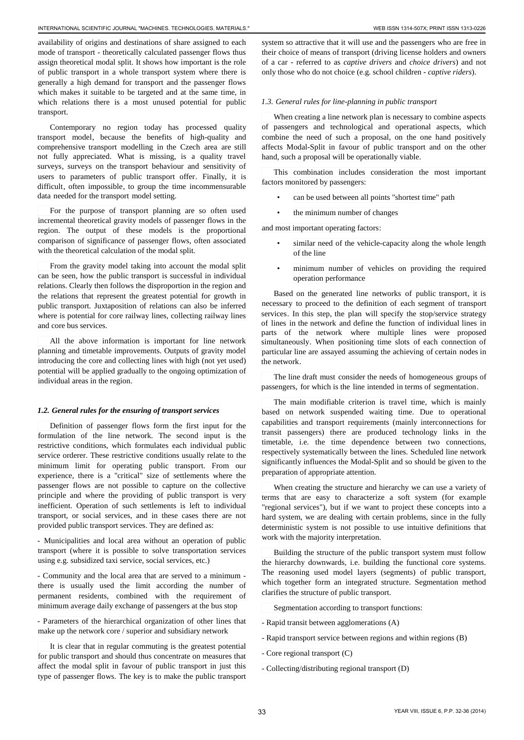availability of origins and destinations of share assigned to each mode of transport - theoretically calculated passenger flows thus assign theoretical modal split. It shows how important is the role of public transport in a whole transport system where there is generally a high demand for transport and the passenger flows which makes it suitable to be targeted and at the same time, in which relations there is a most unused potential for public transport.

Contemporary no region today has processed quality transport model, because the benefits of high-quality and comprehensive transport modelling in the Czech area are still not fully appreciated. What is missing, is a quality travel surveys, surveys on the transport behaviour and sensitivity of users to parameters of public transport offer. Finally, it is difficult, often impossible, to group the time incommensurable data needed for the transport model setting.

For the purpose of transport planning are so often used incremental theoretical gravity models of passenger flows in the region. The output of these models is the proportional comparison of significance of passenger flows, often associated with the theoretical calculation of the modal split.

 From the gravity model taking into account the modal split can be seen, how the public transport is successful in individual relations. Clearly then follows the disproportion in the region and the relations that represent the greatest potential for growth in public transport. Juxtaposition of relations can also be inferred where is potential for core railway lines, collecting railway lines and core bus services.

All the above information is important for line network planning and timetable improvements. Outputs of gravity model introducing the core and collecting lines with high (not yet used) potential will be applied gradually to the ongoing optimization of individual areas in the region.

#### *1.2. General rules for the ensuring of transport services*

Definition of passenger flows form the first input for the formulation of the line network. The second input is the restrictive conditions, which formulates each individual public service orderer. These restrictive conditions usually relate to the minimum limit for operating public transport. From our experience, there is a "critical" size of settlements where the passenger flows are not possible to capture on the collective principle and where the providing of public transport is very inefficient. Operation of such settlements is left to individual transport, or social services, and in these cases there are not provided public transport services. They are defined as:

- Municipalities and local area without an operation of public transport (where it is possible to solve transportation services using e.g. subsidized taxi service, social services, etc.)

- Community and the local area that are served to a minimum there is usually used the limit according the number of permanent residents, combined with the requirement of minimum average daily exchange of passengers at the bus stop

- Parameters of the hierarchical organization of other lines that make up the network core / superior and subsidiary network

 It is clear that in regular commuting is the greatest potential for public transport and should thus concentrate on measures that affect the modal split in favour of public transport in just this type of passenger flows. The key is to make the public transport

system so attractive that it will use and the passengers who are free in their choice of means of transport (driving license holders and owners of a car - referred to as *captive drivers* and *choice drivers*) and not only those who do not choice (e.g. school children - *captive riders*).

#### *1.3. General rules for line-planning in public transport*

When creating a line network plan is necessary to combine aspects of passengers and technological and operational aspects, which combine the need of such a proposal, on the one hand positively affects Modal-Split in favour of public transport and on the other hand, such a proposal will be operationally viable.

This combination includes consideration the most important factors monitored by passengers:

- can be used between all points "shortest time" path
- the minimum number of changes

and most important operating factors:

- similar need of the vehicle-capacity along the whole length of the line
- minimum number of vehicles on providing the required operation performance

Based on the generated line networks of public transport, it is necessary to proceed to the definition of each segment of transport services. In this step, the plan will specify the stop/service strategy of lines in the network and define the function of individual lines in parts of the network where multiple lines were proposed simultaneously. When positioning time slots of each connection of particular line are assayed assuming the achieving of certain nodes in the network.

The line draft must consider the needs of homogeneous groups of passengers, for which is the line intended in terms of segmentation.

The main modifiable criterion is travel time, which is mainly based on network suspended waiting time. Due to operational capabilities and transport requirements (mainly interconnections for transit passengers) there are produced technology links in the timetable, i.e. the time dependence between two connections, respectively systematically between the lines. Scheduled line network significantly influences the Modal-Split and so should be given to the preparation of appropriate attention.

When creating the structure and hierarchy we can use a variety of terms that are easy to characterize a soft system (for example "regional services"), but if we want to project these concepts into a hard system, we are dealing with certain problems, since in the fully deterministic system is not possible to use intuitive definitions that work with the majority interpretation.

Building the structure of the public transport system must follow the hierarchy downwards, i.e. building the functional core systems. The reasoning used model layers (segments) of public transport, which together form an integrated structure. Segmentation method clarifies the structure of public transport.

Segmentation according to transport functions:

- Rapid transit between agglomerations (A)
- Rapid transport service between regions and within regions (B)
- Core regional transport (C)
- Collecting/distributing regional transport (D)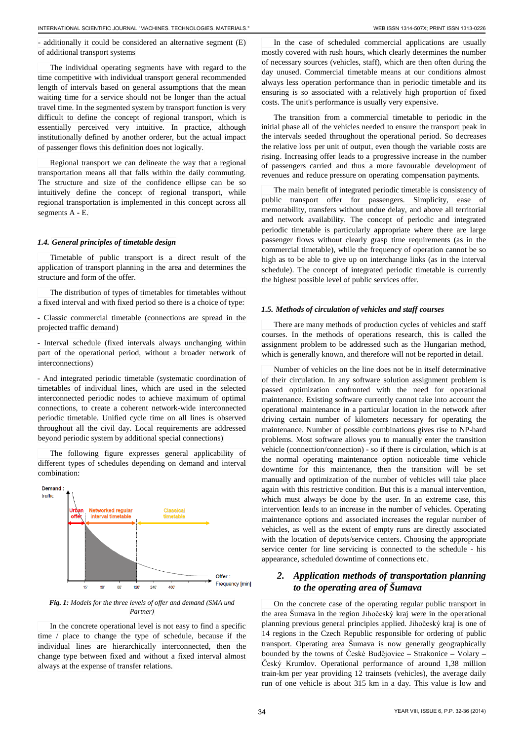- additionally it could be considered an alternative segment (E) of additional transport systems

The individual operating segments have with regard to the time competitive with individual transport general recommended length of intervals based on general assumptions that the mean waiting time for a service should not be longer than the actual travel time. In the segmented system by transport function is very difficult to define the concept of regional transport, which is essentially perceived very intuitive. In practice, although institutionally defined by another orderer, but the actual impact of passenger flows this definition does not logically.

Regional transport we can delineate the way that a regional transportation means all that falls within the daily commuting. The structure and size of the confidence ellipse can be so intuitively define the concept of regional transport, while regional transportation is implemented in this concept across all segments A - E.

#### *1.4. General principles of timetable design*

Timetable of public transport is a direct result of the application of transport planning in the area and determines the structure and form of the offer.

The distribution of types of timetables for timetables without a fixed interval and with fixed period so there is a choice of type:

- Classic commercial timetable (connections are spread in the projected traffic demand)

- Interval schedule (fixed intervals always unchanging within part of the operational period, without a broader network of interconnections)

- And integrated periodic timetable (systematic coordination of timetables of individual lines, which are used in the selected interconnected periodic nodes to achieve maximum of optimal connections, to create a coherent network-wide interconnected periodic timetable. Unified cycle time on all lines is observed throughout all the civil day. Local requirements are addressed beyond periodic system by additional special connections)

The following figure expresses general applicability of different types of schedules depending on demand and interval combination:



*Fig. 1: Models for the three levels of offer and demand (SMA und Partner)*

 In the concrete operational level is not easy to find a specific time / place to change the type of schedule, because if the individual lines are hierarchically interconnected, then the change type between fixed and without a fixed interval almost always at the expense of transfer relations.

 In the case of scheduled commercial applications are usually mostly covered with rush hours, which clearly determines the number of necessary sources (vehicles, staff), which are then often during the day unused. Commercial timetable means at our conditions almost always less operation performance than in periodic timetable and its ensuring is so associated with a relatively high proportion of fixed

The transition from a commercial timetable to periodic in the initial phase all of the vehicles needed to ensure the transport peak in the intervals seeded throughout the operational period. So decreases the relative loss per unit of output, even though the variable costs are rising. Increasing offer leads to a progressive increase in the number of passengers carried and thus a more favourable development of revenues and reduce pressure on operating compensation payments.

costs. The unit's performance is usually very expensive.

The main benefit of integrated periodic timetable is consistency of public transport offer for passengers. Simplicity, ease of memorability, transfers without undue delay, and above all territorial and network availability. The concept of periodic and integrated periodic timetable is particularly appropriate where there are large passenger flows without clearly grasp time requirements (as in the commercial timetable), while the frequency of operation cannot be so high as to be able to give up on interchange links (as in the interval schedule). The concept of integrated periodic timetable is currently the highest possible level of public services offer.

#### *1.5. Methods of circulation of vehicles and staff courses*

There are many methods of production cycles of vehicles and staff courses. In the methods of operations research, this is called the assignment problem to be addressed such as the Hungarian method, which is generally known, and therefore will not be reported in detail.

Number of vehicles on the line does not be in itself determinative of their circulation. In any software solution assignment problem is passed optimization confronted with the need for operational maintenance. Existing software currently cannot take into account the operational maintenance in a particular location in the network after driving certain number of kilometers necessary for operating the maintenance. Number of possible combinations gives rise to NP-hard problems. Most software allows you to manually enter the transition vehicle (connection/connection) - so if there is circulation, which is at the normal operating maintenance option noticeable time vehicle downtime for this maintenance, then the transition will be set manually and optimization of the number of vehicles will take place again with this restrictive condition. But this is a manual intervention, which must always be done by the user. In an extreme case, this intervention leads to an increase in the number of vehicles. Operating maintenance options and associated increases the regular number of vehicles, as well as the extent of empty runs are directly associated with the location of depots/service centers. Choosing the appropriate service center for line servicing is connected to the schedule - his appearance, scheduled downtime of connections etc.

# *2. Application methods of transportation planning to the operating area of Šumava*

On the concrete case of the operating regular public transport in the area Šumava in the region Jihočeský kraj were in the operational planning previous general principles applied. Jihočeský kraj is one of 14 regions in the Czech Republic responsible for ordering of public transport. Operating area Šumava is now generally geographically bounded by the towns of České Budějovice – Strakonice – Volary – Český Krumlov. Operational performance of around 1,38 million train-km per year providing 12 trainsets (vehicles), the average daily run of one vehicle is about 315 km in a day. This value is low and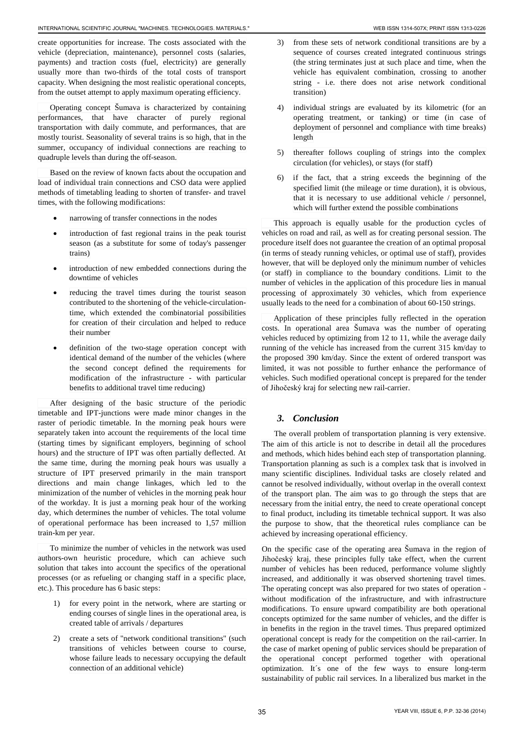create opportunities for increase. The costs associated with the vehicle (depreciation, maintenance), personnel costs (salaries, payments) and traction costs (fuel, electricity) are generally usually more than two-thirds of the total costs of transport capacity. When designing the most realistic operational concepts, from the outset attempt to apply maximum operating efficiency.

Operating concept Šumava is characterized by containing performances, that have character of purely regional transportation with daily commute, and performances, that are mostly tourist. Seasonality of several trains is so high, that in the summer, occupancy of individual connections are reaching to quadruple levels than during the off-season.

Based on the review of known facts about the occupation and load of individual train connections and CSO data were applied methods of timetabling leading to shorten of transfer- and travel times, with the following modifications:

- narrowing of transfer connections in the nodes
- introduction of fast regional trains in the peak tourist season (as a substitute for some of today's passenger trains)
- introduction of new embedded connections during the downtime of vehicles
- reducing the travel times during the tourist season contributed to the shortening of the vehicle-circulationtime, which extended the combinatorial possibilities for creation of their circulation and helped to reduce their number
- definition of the two-stage operation concept with identical demand of the number of the vehicles (where the second concept defined the requirements for modification of the infrastructure - with particular benefits to additional travel time reducing)

After designing of the basic structure of the periodic timetable and IPT-junctions were made minor changes in the raster of periodic timetable. In the morning peak hours were separately taken into account the requirements of the local time (starting times by significant employers, beginning of school hours) and the structure of IPT was often partially deflected. At the same time, during the morning peak hours was usually a structure of IPT preserved primarily in the main transport directions and main change linkages, which led to the minimization of the number of vehicles in the morning peak hour of the workday. It is just a morning peak hour of the working day, which determines the number of vehicles. The total volume of operational performace has been increased to 1,57 million train-km per year.

To minimize the number of vehicles in the network was used authors-own heuristic procedure, which can achieve such solution that takes into account the specifics of the operational processes (or as refueling or changing staff in a specific place, etc.). This procedure has 6 basic steps:

- 1) for every point in the network, where are starting or ending courses of single lines in the operational area, is created table of arrivals / departures
- 2) create a sets of "network conditional transitions" (such transitions of vehicles between course to course, whose failure leads to necessary occupying the default connection of an additional vehicle)
- 3) from these sets of network conditional transitions are by a sequence of courses created integrated continuous strings (the string terminates just at such place and time, when the vehicle has equivalent combination, crossing to another string - i.e. there does not arise network conditional transition)
- 4) individual strings are evaluated by its kilometric (for an operating treatment, or tanking) or time (in case of deployment of personnel and compliance with time breaks) length
- 5) thereafter follows coupling of strings into the complex circulation (for vehicles), or stays (for staff)
- 6) if the fact, that a string exceeds the beginning of the specified limit (the mileage or time duration), it is obvious, that it is necessary to use additional vehicle / personnel, which will further extend the possible combinations

This approach is equally usable for the production cycles of vehicles on road and rail, as well as for creating personal session. The procedure itself does not guarantee the creation of an optimal proposal (in terms of steady running vehicles, or optimal use of staff), provides however, that will be deployed only the minimum number of vehicles (or staff) in compliance to the boundary conditions. Limit to the number of vehicles in the application of this procedure lies in manual processing of approximately 30 vehicles, which from experience usually leads to the need for a combination of about 60-150 strings.

Application of these principles fully reflected in the operation costs. In operational area Šumava was the number of operating vehicles reduced by optimizing from 12 to 11, while the average daily running of the vehicle has increased from the current 315 km/day to the proposed 390 km/day. Since the extent of ordered transport was limited, it was not possible to further enhance the performance of vehicles. Such modified operational concept is prepared for the tender of Jihočeský kraj for selecting new rail-carrier.

## *3. Conclusion*

The overall problem of transportation planning is very extensive. The aim of this article is not to describe in detail all the procedures and methods, which hides behind each step of transportation planning. Transportation planning as such is a complex task that is involved in many scientific disciplines. Individual tasks are closely related and cannot be resolved individually, without overlap in the overall context of the transport plan. The aim was to go through the steps that are necessary from the initial entry, the need to create operational concept to final product, including its timetable technical support. It was also the purpose to show, that the theoretical rules compliance can be achieved by increasing operational efficiency.

On the specific case of the operating area Šumava in the region of Jihočeský kraj, these principles fully take effect, when the current number of vehicles has been reduced, performance volume slightly increased, and additionally it was observed shortening travel times. The operating concept was also prepared for two states of operation without modification of the infrastructure, and with infrastructure modifications. To ensure upward compatibility are both operational concepts optimized for the same number of vehicles, and the differ is in benefits in the region in the travel times. Thus prepared optimized operational concept is ready for the competition on the rail-carrier. In the case of market opening of public services should be preparation of the operational concept performed together with operational optimization. It´s one of the few ways to ensure long-term sustainability of public rail services. In a liberalized bus market in the